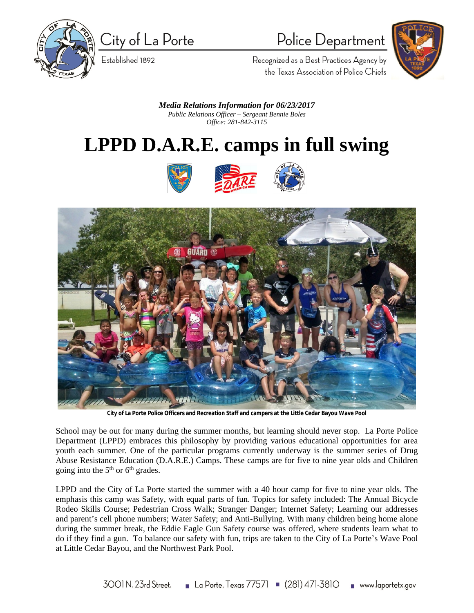

City of La Porte

Established 1892

## Police Department



Recognized as a Best Practices Agency by the Texas Association of Police Chiefs

*Media Relations Information for 06/23/2017 Public Relations Officer – Sergeant Bennie Boles Office: 281-842-3115*

## **LPPD D.A.R.E. camps in full swing**





**City of La Porte Police Officers and Recreation Staff and campers at the Little Cedar Bayou Wave Pool**

School may be out for many during the summer months, but learning should never stop. La Porte Police Department (LPPD) embraces this philosophy by providing various educational opportunities for area youth each summer. One of the particular programs currently underway is the summer series of Drug Abuse Resistance Education (D.A.R.E.) Camps. These camps are for five to nine year olds and Children going into the 5<sup>th</sup> or 6<sup>th</sup> grades.

LPPD and the City of La Porte started the summer with a 40 hour camp for five to nine year olds. The emphasis this camp was Safety, with equal parts of fun. Topics for safety included: The Annual Bicycle Rodeo Skills Course; Pedestrian Cross Walk; Stranger Danger; Internet Safety; Learning our addresses and parent's cell phone numbers; Water Safety; and Anti-Bullying. With many children being home alone during the summer break, the Eddie Eagle Gun Safety course was offered, where students learn what to do if they find a gun. To balance our safety with fun, trips are taken to the City of La Porte's Wave Pool at Little Cedar Bayou, and the Northwest Park Pool.